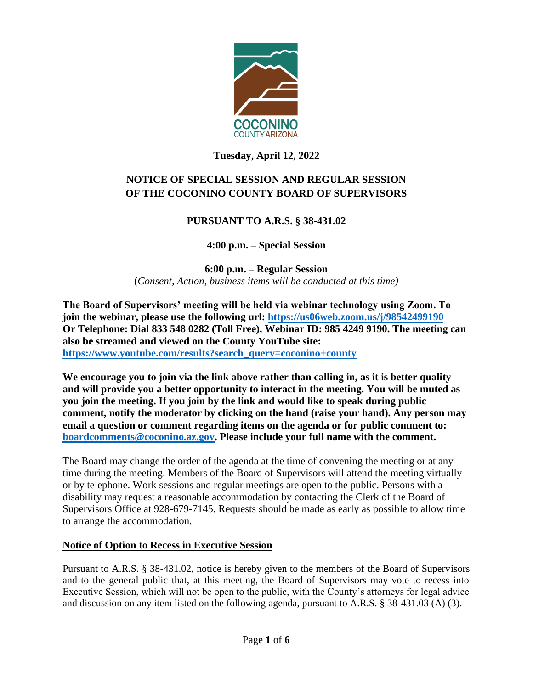

# **Tuesday, April 12, 2022**

# **NOTICE OF SPECIAL SESSION AND REGULAR SESSION OF THE COCONINO COUNTY BOARD OF SUPERVISORS**

# **PURSUANT TO A.R.S. § 38-431.02**

**4:00 p.m. – Special Session**

**6:00 p.m. – Regular Session** (*Consent, Action, business items will be conducted at this time)*

**The Board of Supervisors' meeting will be held via webinar technology using Zoom. To join the webinar, please use the following url: <https://us06web.zoom.us/j/98542499190> Or Telephone: Dial 833 548 0282 (Toll Free), Webinar ID: 985 4249 9190. The meeting can also be streamed and viewed on the County YouTube site: [https://www.youtube.com/results?search\\_query=coconino+county](https://www.youtube.com/results?search_query=coconino+county)**

**We encourage you to join via the link above rather than calling in, as it is better quality and will provide you a better opportunity to interact in the meeting. You will be muted as you join the meeting. If you join by the link and would like to speak during public comment, notify the moderator by clicking on the hand (raise your hand). Any person may email a question or comment regarding items on the agenda or for public comment to: [boardcomments@coconino.az.gov.](mailto:boardcomments@coconino.az.gov) Please include your full name with the comment.** 

The Board may change the order of the agenda at the time of convening the meeting or at any time during the meeting. Members of the Board of Supervisors will attend the meeting virtually or by telephone. Work sessions and regular meetings are open to the public. Persons with a disability may request a reasonable accommodation by contacting the Clerk of the Board of Supervisors Office at 928-679-7145. Requests should be made as early as possible to allow time to arrange the accommodation.

### **Notice of Option to Recess in Executive Session**

Pursuant to A.R.S. § 38-431.02, notice is hereby given to the members of the Board of Supervisors and to the general public that, at this meeting, the Board of Supervisors may vote to recess into Executive Session, which will not be open to the public, with the County's attorneys for legal advice and discussion on any item listed on the following agenda, pursuant to A.R.S. § 38-431.03 (A) (3).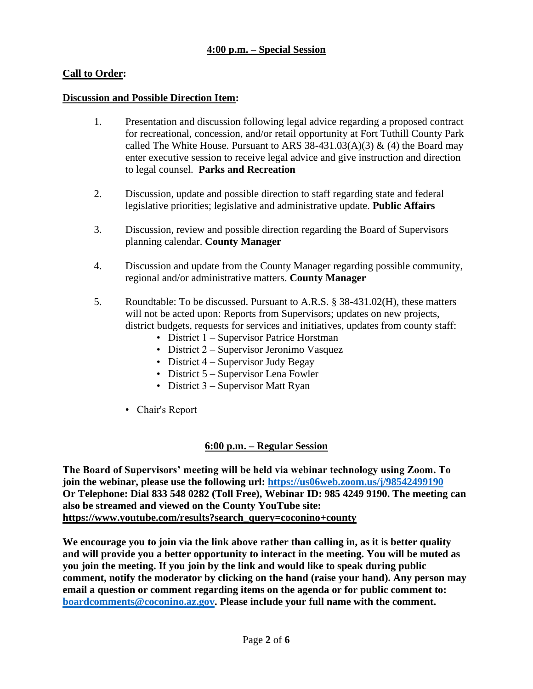## **4:00 p.m. – Special Session**

## **Call to Order:**

#### **Discussion and Possible Direction Item:**

- 1. Presentation and discussion following legal advice regarding a proposed contract for recreational, concession, and/or retail opportunity at Fort Tuthill County Park called The White House. Pursuant to ARS 38-431.03(A)(3)  $\&$  (4) the Board may enter executive session to receive legal advice and give instruction and direction to legal counsel. **Parks and Recreation**
- 2. Discussion, update and possible direction to staff regarding state and federal legislative priorities; legislative and administrative update. **Public Affairs**
- 3. Discussion, review and possible direction regarding the Board of Supervisors planning calendar. **County Manager**
- 4. Discussion and update from the County Manager regarding possible community, regional and/or administrative matters. **County Manager**
- 5. Roundtable: To be discussed. Pursuant to A.R.S. § 38-431.02(H), these matters will not be acted upon: Reports from Supervisors; updates on new projects, district budgets, requests for services and initiatives, updates from county staff:
	- District 1 Supervisor Patrice Horstman
	- District 2 Supervisor Jeronimo Vasquez
	- District 4 Supervisor Judy Begay
	- District 5 Supervisor Lena Fowler
	- District 3 Supervisor Matt Ryan
	- Chair's Report

#### **6:00 p.m. – Regular Session**

**The Board of Supervisors' meeting will be held via webinar technology using Zoom. To join the webinar, please use the following url: <https://us06web.zoom.us/j/98542499190> Or Telephone: Dial 833 548 0282 (Toll Free), Webinar ID: 985 4249 9190. The meeting can also be streamed and viewed on the County YouTube site: [https://www.youtube.com/results?search\\_query=coconino+county](https://www.youtube.com/results?search_query=coconino+county)**

**We encourage you to join via the link above rather than calling in, as it is better quality and will provide you a better opportunity to interact in the meeting. You will be muted as you join the meeting. If you join by the link and would like to speak during public comment, notify the moderator by clicking on the hand (raise your hand). Any person may email a question or comment regarding items on the agenda or for public comment to: [boardcomments@coconino.az.gov.](mailto:boardcomments@coconino.az.gov) Please include your full name with the comment.**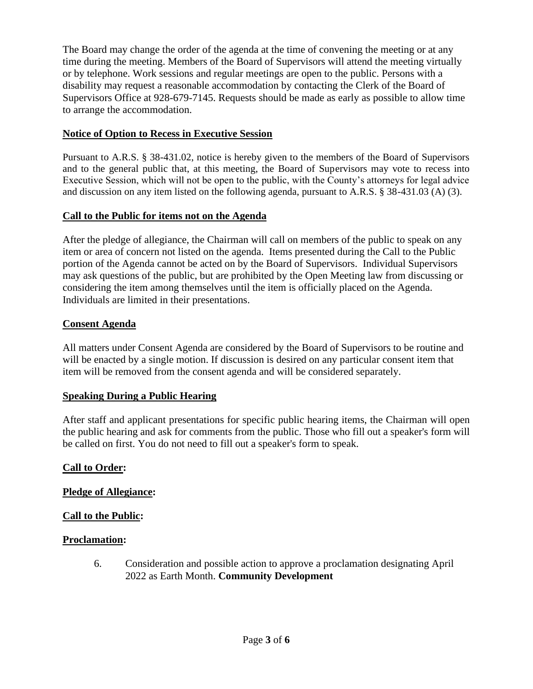The Board may change the order of the agenda at the time of convening the meeting or at any time during the meeting. Members of the Board of Supervisors will attend the meeting virtually or by telephone. Work sessions and regular meetings are open to the public. Persons with a disability may request a reasonable accommodation by contacting the Clerk of the Board of Supervisors Office at 928-679-7145. Requests should be made as early as possible to allow time to arrange the accommodation.

# **Notice of Option to Recess in Executive Session**

Pursuant to A.R.S. § 38-431.02, notice is hereby given to the members of the Board of Supervisors and to the general public that, at this meeting, the Board of Supervisors may vote to recess into Executive Session, which will not be open to the public, with the County's attorneys for legal advice and discussion on any item listed on the following agenda, pursuant to A.R.S. § 38-431.03 (A) (3).

# **Call to the Public for items not on the Agenda**

After the pledge of allegiance, the Chairman will call on members of the public to speak on any item or area of concern not listed on the agenda. Items presented during the Call to the Public portion of the Agenda cannot be acted on by the Board of Supervisors. Individual Supervisors may ask questions of the public, but are prohibited by the Open Meeting law from discussing or considering the item among themselves until the item is officially placed on the Agenda. Individuals are limited in their presentations.

# **Consent Agenda**

All matters under Consent Agenda are considered by the Board of Supervisors to be routine and will be enacted by a single motion. If discussion is desired on any particular consent item that item will be removed from the consent agenda and will be considered separately.

### **Speaking During a Public Hearing**

After staff and applicant presentations for specific public hearing items, the Chairman will open the public hearing and ask for comments from the public. Those who fill out a speaker's form will be called on first. You do not need to fill out a speaker's form to speak.

### **Call to Order:**

### **Pledge of Allegiance:**

### **Call to the Public:**

### **Proclamation:**

6. Consideration and possible action to approve a proclamation designating April 2022 as Earth Month. **Community Development**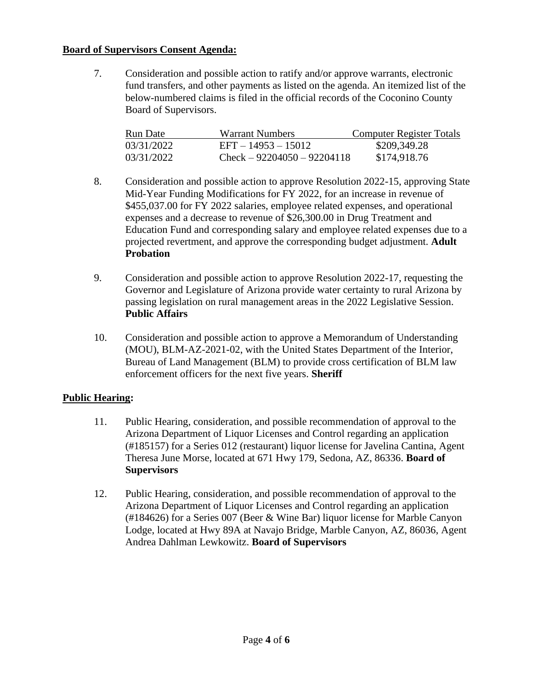#### **Board of Supervisors Consent Agenda:**

7. Consideration and possible action to ratify and/or approve warrants, electronic fund transfers, and other payments as listed on the agenda. An itemized list of the below-numbered claims is filed in the official records of the Coconino County Board of Supervisors.

| Run Date   | <b>Warrant Numbers</b>        | Computer Register Totals |
|------------|-------------------------------|--------------------------|
| 03/31/2022 | $EFT - 14953 - 15012$         | \$209,349.28             |
| 03/31/2022 | $Check - 92204050 - 92204118$ | \$174,918.76             |

- 8. Consideration and possible action to approve Resolution 2022-15, approving State Mid-Year Funding Modifications for FY 2022, for an increase in revenue of \$455,037.00 for FY 2022 salaries, employee related expenses, and operational expenses and a decrease to revenue of \$26,300.00 in Drug Treatment and Education Fund and corresponding salary and employee related expenses due to a projected revertment, and approve the corresponding budget adjustment. **Adult Probation**
- 9. Consideration and possible action to approve Resolution 2022-17, requesting the Governor and Legislature of Arizona provide water certainty to rural Arizona by passing legislation on rural management areas in the 2022 Legislative Session. **Public Affairs**
- 10. Consideration and possible action to approve a Memorandum of Understanding (MOU), BLM-AZ-2021-02, with the United States Department of the Interior, Bureau of Land Management (BLM) to provide cross certification of BLM law enforcement officers for the next five years. **Sheriff**

### **Public Hearing:**

- 11. Public Hearing, consideration, and possible recommendation of approval to the Arizona Department of Liquor Licenses and Control regarding an application (#185157) for a Series 012 (restaurant) liquor license for Javelina Cantina, Agent Theresa June Morse, located at 671 Hwy 179, Sedona, AZ, 86336. **Board of Supervisors**
- 12. Public Hearing, consideration, and possible recommendation of approval to the Arizona Department of Liquor Licenses and Control regarding an application (#184626) for a Series 007 (Beer & Wine Bar) liquor license for Marble Canyon Lodge, located at Hwy 89A at Navajo Bridge, Marble Canyon, AZ, 86036, Agent Andrea Dahlman Lewkowitz. **Board of Supervisors**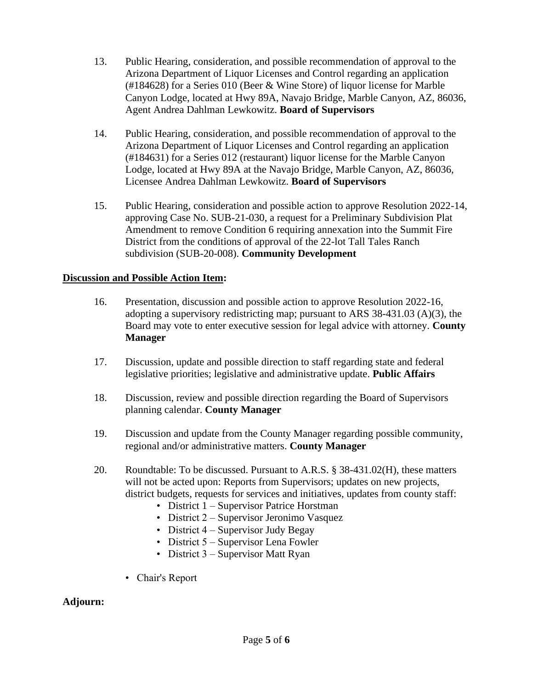- 13. Public Hearing, consideration, and possible recommendation of approval to the Arizona Department of Liquor Licenses and Control regarding an application (#184628) for a Series 010 (Beer & Wine Store) of liquor license for Marble Canyon Lodge, located at Hwy 89A, Navajo Bridge, Marble Canyon, AZ, 86036, Agent Andrea Dahlman Lewkowitz. **Board of Supervisors**
- 14. Public Hearing, consideration, and possible recommendation of approval to the Arizona Department of Liquor Licenses and Control regarding an application (#184631) for a Series 012 (restaurant) liquor license for the Marble Canyon Lodge, located at Hwy 89A at the Navajo Bridge, Marble Canyon, AZ, 86036, Licensee Andrea Dahlman Lewkowitz. **Board of Supervisors**
- 15. Public Hearing, consideration and possible action to approve Resolution 2022-14, approving Case No. SUB-21-030, a request for a Preliminary Subdivision Plat Amendment to remove Condition 6 requiring annexation into the Summit Fire District from the conditions of approval of the 22-lot Tall Tales Ranch subdivision (SUB-20-008). **Community Development**

# **Discussion and Possible Action Item:**

- 16. Presentation, discussion and possible action to approve Resolution 2022-16, adopting a supervisory redistricting map; pursuant to ARS 38-431.03 (A)(3), the Board may vote to enter executive session for legal advice with attorney. **County Manager**
- 17. Discussion, update and possible direction to staff regarding state and federal legislative priorities; legislative and administrative update. **Public Affairs**
- 18. Discussion, review and possible direction regarding the Board of Supervisors planning calendar. **County Manager**
- 19. Discussion and update from the County Manager regarding possible community, regional and/or administrative matters. **County Manager**
- 20. Roundtable: To be discussed. Pursuant to A.R.S. § 38-431.02(H), these matters will not be acted upon: Reports from Supervisors; updates on new projects, district budgets, requests for services and initiatives, updates from county staff:
	- District 1 Supervisor Patrice Horstman
	- District 2 Supervisor Jeronimo Vasquez
	- District 4 Supervisor Judy Begay
	- District 5 Supervisor Lena Fowler
	- District 3 Supervisor Matt Ryan
	- Chair's Report

### **Adjourn:**